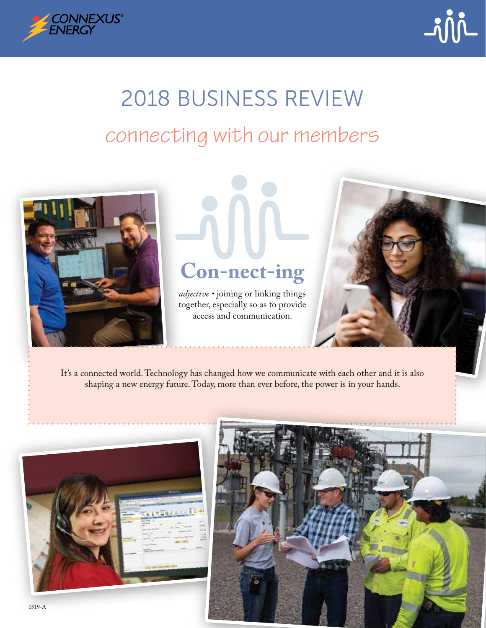



# connecting with our members 2018 BUSINESS REVIEW



# **Con-nect-ing**

*adjective •* joining or linking things together, especially so as to provide access and communication.



It's a connected world. Technology has changed how we communicate with each other and it is also shaping a new energy future. Today, more than ever before, the power is in your hands.





0519-A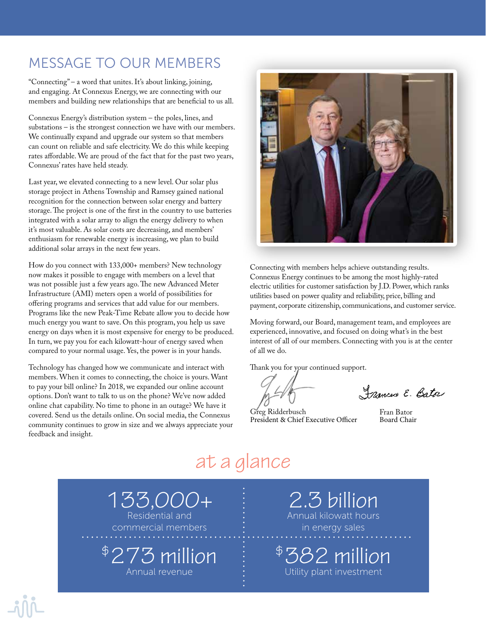#### MESSAGE TO OUR MEMBERS

"Connecting" – a word that unites. It's about linking, joining, and engaging. At Connexus Energy, we are connecting with our members and building new relationships that are beneficial to us all.

Connexus Energy's distribution system – the poles, lines, and substations – is the strongest connection we have with our members. We continually expand and upgrade our system so that members can count on reliable and safe electricity. We do this while keeping rates affordable. We are proud of the fact that for the past two years, Connexus' rates have held steady.

Last year, we elevated connecting to a new level. Our solar plus storage project in Athens Township and Ramsey gained national recognition for the connection between solar energy and battery storage. The project is one of the first in the country to use batteries integrated with a solar array to align the energy delivery to when it's most valuable. As solar costs are decreasing, and members' enthusiasm for renewable energy is increasing, we plan to build additional solar arrays in the next few years.

How do you connect with 133,000+ members? New technology now makes it possible to engage with members on a level that was not possible just a few years ago. The new Advanced Meter Infrastructure (AMI) meters open a world of possibilities for offering programs and services that add value for our members. Programs like the new Peak-Time Rebate allow you to decide how much energy you want to save. On this program, you help us save energy on days when it is most expensive for energy to be produced. In turn, we pay you for each kilowatt-hour of energy saved when compared to your normal usage. Yes, the power is in your hands.

Technology has changed how we communicate and interact with members. When it comes to connecting, the choice is yours. Want to pay your bill online? In 2018, we expanded our online account options. Don't want to talk to us on the phone? We've now added online chat capability. No time to phone in an outage? We have it covered. Send us the details online. On social media, the Connexus community continues to grow in size and we always appreciate your feedback and insight.



Connecting with members helps achieve outstanding results. Connexus Energy continues to be among the most highly-rated electric utilities for customer satisfaction by J.D. Power, which ranks utilities based on power quality and reliability, price, billing and payment, corporate citizenship, communications, and customer service.

Moving forward, our Board, management team, and employees are experienced, innovative, and focused on doing what's in the best interest of all of our members. Connecting with you is at the center of all we do.

Thank you for your continued support.

Frances E. Bato

Greg Ridderbusch President & Chief Executive Officer

Fran Bator Board Chair

# at a glance

133,000+ Residential and commercial members

\$273 million

Annual revenue

in energy sales

\$382 million Utility plant investment

2.3 billion Annual kilowatt hours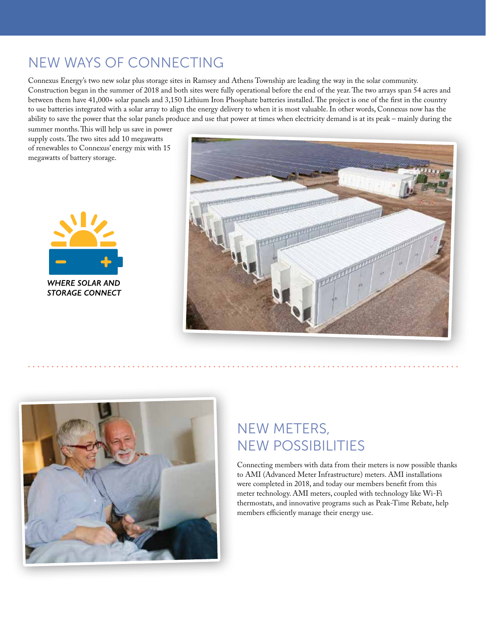#### NEW WAYS OF CONNECTING

Connexus Energy's two new solar plus storage sites in Ramsey and Athens Township are leading the way in the solar community. Construction began in the summer of 2018 and both sites were fully operational before the end of the year. The two arrays span 54 acres and between them have 41,000+ solar panels and 3,150 Lithium Iron Phosphate batteries installed. The project is one of the first in the country to use batteries integrated with a solar array to align the energy delivery to when it is most valuable. In other words, Connexus now has the ability to save the power that the solar panels produce and use that power at times when electricity demand is at its peak – mainly during the

summer months. This will help us save in power supply costs. The two sites add 10 megawatts of renewables to Connexus' energy mix with 15 megawatts of battery storage.







### NEW METERS, NEW POSSIBILITIES

Connecting members with data from their meters is now possible thanks to AMI (Advanced Meter Infrastructure) meters. AMI installations were completed in 2018, and today our members benefit from this meter technology. AMI meters, coupled with technology like Wi-Fi thermostats, and innovative programs such as Peak-Time Rebate, help members efficiently manage their energy use.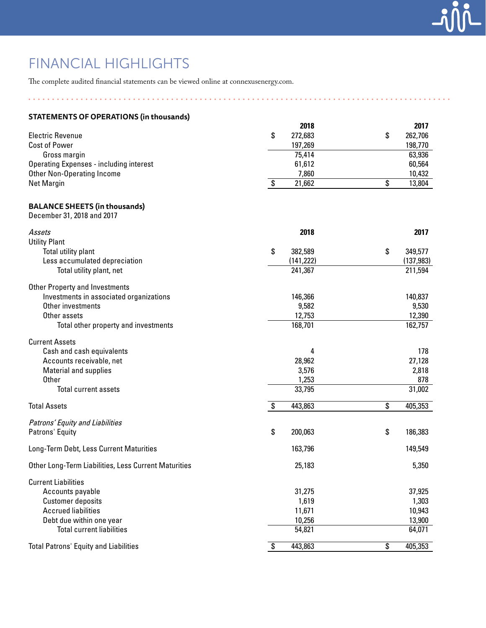### FINANCIAL HIGHLIGHTS

The complete audited financial statements can be viewed online at connexusenergy.com.

| <b>STATEMENTS OF OPERATIONS (in thousands)</b>                     |               |               |
|--------------------------------------------------------------------|---------------|---------------|
|                                                                    | 2018          | 2017          |
| <b>Electric Revenue</b>                                            | \$<br>272,683 | \$<br>262,706 |
| <b>Cost of Power</b>                                               | 197,269       | 198,770       |
| Gross margin                                                       | 75,414        | 63,936        |
| <b>Operating Expenses - including interest</b>                     | 61,612        | 60,564        |
| <b>Other Non-Operating Income</b>                                  | 7,860         | 10,432        |
| <b>Net Margin</b>                                                  | \$<br>21,662  | \$<br>13,804  |
| <b>BALANCE SHEETS (in thousands)</b><br>December 31, 2018 and 2017 |               |               |
| Assets                                                             | 2018          | 2017          |
| <b>Utility Plant</b>                                               |               |               |
| Total utility plant                                                | \$<br>382,589 | \$<br>349,577 |
| Less accumulated depreciation                                      | (141, 222)    | (137, 983)    |
| Total utility plant, net                                           | 241,367       | 211,594       |
| <b>Other Property and Investments</b>                              |               |               |
| Investments in associated organizations                            | 146,366       | 140,837       |
| Other investments                                                  | 9,582         | 9,530         |
| Other assets                                                       | 12,753        | 12,390        |
| Total other property and investments                               | 168,701       | 162,757       |
| <b>Current Assets</b>                                              |               |               |
| Cash and cash equivalents                                          | 4             | 178           |
| Accounts receivable, net                                           | 28,962        | 27,128        |
| <b>Material and supplies</b>                                       | 3,576         | 2,818         |
| <b>Other</b>                                                       | 1,253         | 878           |
| Total current assets                                               | 33,795        | 31,002        |
| <b>Total Assets</b>                                                | \$<br>443,863 | \$<br>405,353 |
| Patrons' Equity and Liabilities                                    |               |               |
| Patrons' Equity                                                    | \$<br>200,063 | \$<br>186,383 |
| Long-Term Debt, Less Current Maturities                            | 163,796       | 149,549       |
| Other Long-Term Liabilities, Less Current Maturities               | 25,183        | 5,350         |
| <b>Current Liabilities</b>                                         |               |               |
| Accounts payable                                                   | 31,275        | 37,925        |
| <b>Customer deposits</b>                                           | 1,619         | 1,303         |
| <b>Accrued liabilities</b>                                         | 11,671        | 10,943        |
| Debt due within one year                                           | 10,256        | 13,900        |
| <b>Total current liabilities</b>                                   | 54,821        | 64,071        |
| <b>Total Patrons' Equity and Liabilities</b>                       | \$<br>443,863 | \$<br>405,353 |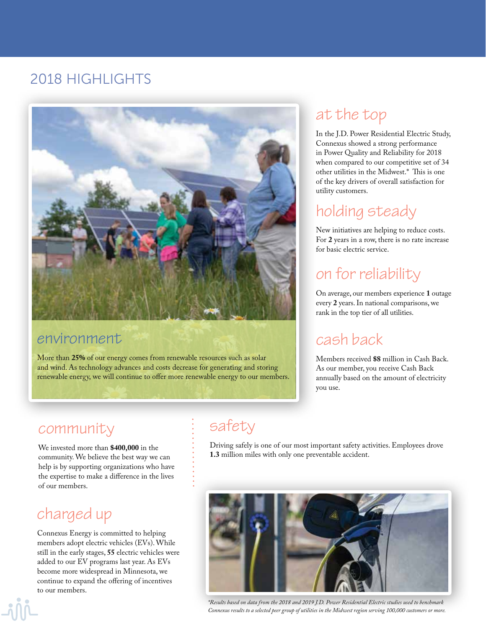#### 2018 HIGHLIGHTS



#### environment

More than **25%** of our energy comes from renewable resources such as solar and wind. As technology advances and costs decrease for generating and storing renewable energy, we will continue to offer more renewable energy to our members.

#### at the top

In the J.D. Power Residential Electric Study, Connexus showed a strong performance in Power Quality and Reliability for 2018 when compared to our competitive set of 34 other utilities in the Midwest.\* This is one of the key drivers of overall satisfaction for utility customers.

### holding steady

New initiatives are helping to reduce costs. For **2** years in a row, there is no rate increase for basic electric service.

# on for reliability

On average, our members experience **1** outage every **2** years. In national comparisons, we rank in the top tier of all utilities.

#### cash back

Members received **\$8** million in Cash Back. As our member, you receive Cash Back annually based on the amount of electricity you use.

#### community

We invested more than **\$400,000** in the community. We believe the best way we can help is by supporting organizations who have the expertise to make a difference in the lives of our members.

#### charged up

Connexus Energy is committed to helping members adopt electric vehicles (EVs). While still in the early stages, **55** electric vehicles were added to our EV programs last year. As EVs become more widespread in Minnesota, we continue to expand the offering of incentives to our members.

## safety

Driving safely is one of our most important safety activities. Employees drove **1.3** million miles with only one preventable accident.



*\*Results based on data from the 2018 and 2019 J.D. Power Residential Electric studies used to benchmark Connexus results to a selected peer group of utilities in the Midwest region serving 100,000 customers or more.*